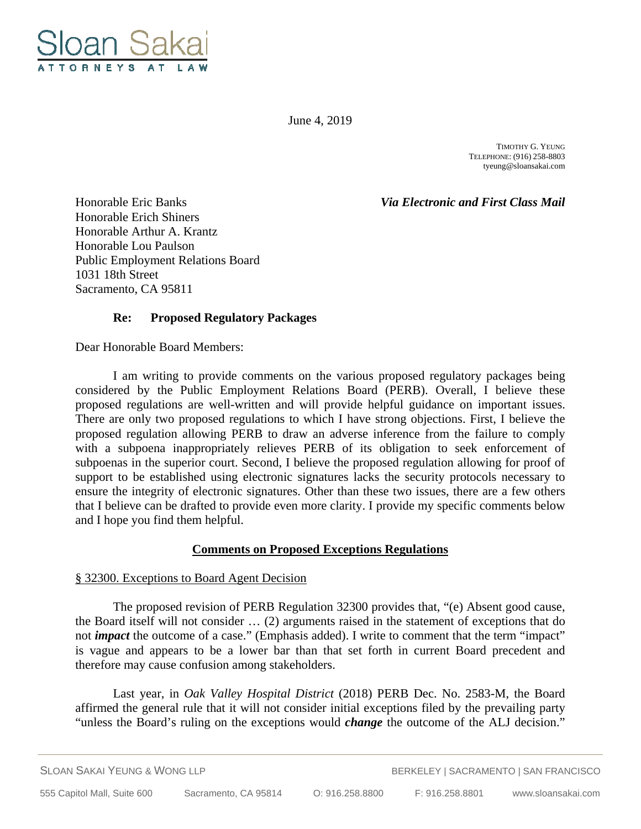

June 4, 2019

TIMOTHY G. YEUNG TELEPHONE: (916) 258-8803 tyeung@sloansakai.com

Honorable Eric Banks *Via Electronic and First Class Mail*

Honorable Erich Shiners Honorable Arthur A. Krantz Honorable Lou Paulson Public Employment Relations Board 1031 18th Street Sacramento, CA 95811

# **Re: Proposed Regulatory Packages**

Dear Honorable Board Members:

 I am writing to provide comments on the various proposed regulatory packages being considered by the Public Employment Relations Board (PERB). Overall, I believe these proposed regulations are well-written and will provide helpful guidance on important issues. There are only two proposed regulations to which I have strong objections. First, I believe the proposed regulation allowing PERB to draw an adverse inference from the failure to comply with a subpoena inappropriately relieves PERB of its obligation to seek enforcement of subpoenas in the superior court. Second, I believe the proposed regulation allowing for proof of support to be established using electronic signatures lacks the security protocols necessary to ensure the integrity of electronic signatures. Other than these two issues, there are a few others that I believe can be drafted to provide even more clarity. I provide my specific comments below and I hope you find them helpful.

### **Comments on Proposed Exceptions Regulations**

### § 32300. Exceptions to Board Agent Decision

 The proposed revision of PERB Regulation 32300 provides that, "(e) Absent good cause, the Board itself will not consider … (2) arguments raised in the statement of exceptions that do not *impact* the outcome of a case." (Emphasis added). I write to comment that the term "impact" is vague and appears to be a lower bar than that set forth in current Board precedent and therefore may cause confusion among stakeholders.

 Last year, in *Oak Valley Hospital District* (2018) PERB Dec. No. 2583-M, the Board affirmed the general rule that it will not consider initial exceptions filed by the prevailing party "unless the Board's ruling on the exceptions would *change* the outcome of the ALJ decision."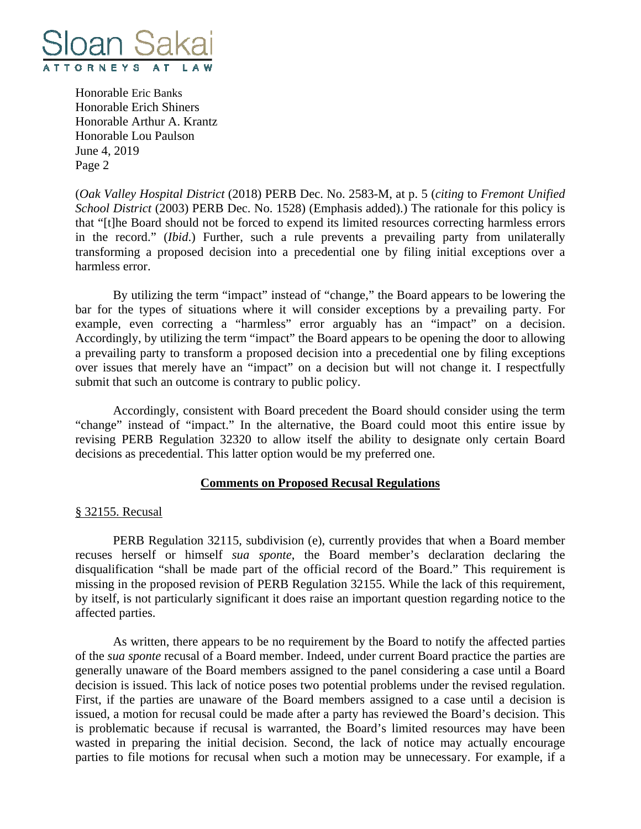

(*Oak Valley Hospital District* (2018) PERB Dec. No. 2583-M, at p. 5 (*citing* to *Fremont Unified School District* (2003) PERB Dec. No. 1528) (Emphasis added).) The rationale for this policy is that "[t]he Board should not be forced to expend its limited resources correcting harmless errors in the record." (*Ibid*.) Further, such a rule prevents a prevailing party from unilaterally transforming a proposed decision into a precedential one by filing initial exceptions over a harmless error.

 By utilizing the term "impact" instead of "change," the Board appears to be lowering the bar for the types of situations where it will consider exceptions by a prevailing party. For example, even correcting a "harmless" error arguably has an "impact" on a decision. Accordingly, by utilizing the term "impact" the Board appears to be opening the door to allowing a prevailing party to transform a proposed decision into a precedential one by filing exceptions over issues that merely have an "impact" on a decision but will not change it. I respectfully submit that such an outcome is contrary to public policy.

 Accordingly, consistent with Board precedent the Board should consider using the term "change" instead of "impact." In the alternative, the Board could moot this entire issue by revising PERB Regulation 32320 to allow itself the ability to designate only certain Board decisions as precedential. This latter option would be my preferred one.

### **Comments on Proposed Recusal Regulations**

### § 32155. Recusal

 PERB Regulation 32115, subdivision (e), currently provides that when a Board member recuses herself or himself *sua sponte*, the Board member's declaration declaring the disqualification "shall be made part of the official record of the Board." This requirement is missing in the proposed revision of PERB Regulation 32155. While the lack of this requirement, by itself, is not particularly significant it does raise an important question regarding notice to the affected parties.

 As written, there appears to be no requirement by the Board to notify the affected parties of the *sua sponte* recusal of a Board member. Indeed, under current Board practice the parties are generally unaware of the Board members assigned to the panel considering a case until a Board decision is issued. This lack of notice poses two potential problems under the revised regulation. First, if the parties are unaware of the Board members assigned to a case until a decision is issued, a motion for recusal could be made after a party has reviewed the Board's decision. This is problematic because if recusal is warranted, the Board's limited resources may have been wasted in preparing the initial decision. Second, the lack of notice may actually encourage parties to file motions for recusal when such a motion may be unnecessary. For example, if a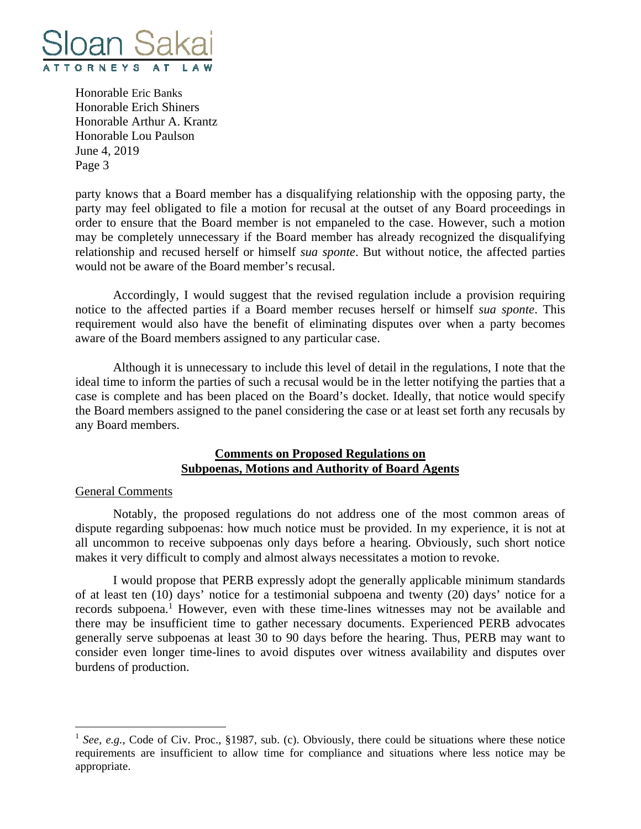

party knows that a Board member has a disqualifying relationship with the opposing party, the party may feel obligated to file a motion for recusal at the outset of any Board proceedings in order to ensure that the Board member is not empaneled to the case. However, such a motion may be completely unnecessary if the Board member has already recognized the disqualifying relationship and recused herself or himself *sua sponte*. But without notice, the affected parties would not be aware of the Board member's recusal.

 Accordingly, I would suggest that the revised regulation include a provision requiring notice to the affected parties if a Board member recuses herself or himself *sua sponte*. This requirement would also have the benefit of eliminating disputes over when a party becomes aware of the Board members assigned to any particular case.

 Although it is unnecessary to include this level of detail in the regulations, I note that the ideal time to inform the parties of such a recusal would be in the letter notifying the parties that a case is complete and has been placed on the Board's docket. Ideally, that notice would specify the Board members assigned to the panel considering the case or at least set forth any recusals by any Board members.

# **Comments on Proposed Regulations on Subpoenas, Motions and Authority of Board Agents**

### General Comments

 $\overline{a}$ 

 Notably, the proposed regulations do not address one of the most common areas of dispute regarding subpoenas: how much notice must be provided. In my experience, it is not at all uncommon to receive subpoenas only days before a hearing. Obviously, such short notice makes it very difficult to comply and almost always necessitates a motion to revoke.

 I would propose that PERB expressly adopt the generally applicable minimum standards of at least ten (10) days' notice for a testimonial subpoena and twenty (20) days' notice for a records subpoena.<sup>1</sup> However, even with these time-lines witnesses may not be available and there may be insufficient time to gather necessary documents. Experienced PERB advocates generally serve subpoenas at least 30 to 90 days before the hearing. Thus, PERB may want to consider even longer time-lines to avoid disputes over witness availability and disputes over burdens of production.

<sup>&</sup>lt;sup>1</sup> *See, e.g.*, Code of Civ. Proc., §1987, sub. (c). Obviously, there could be situations where these notice requirements are insufficient to allow time for compliance and situations where less notice may be appropriate.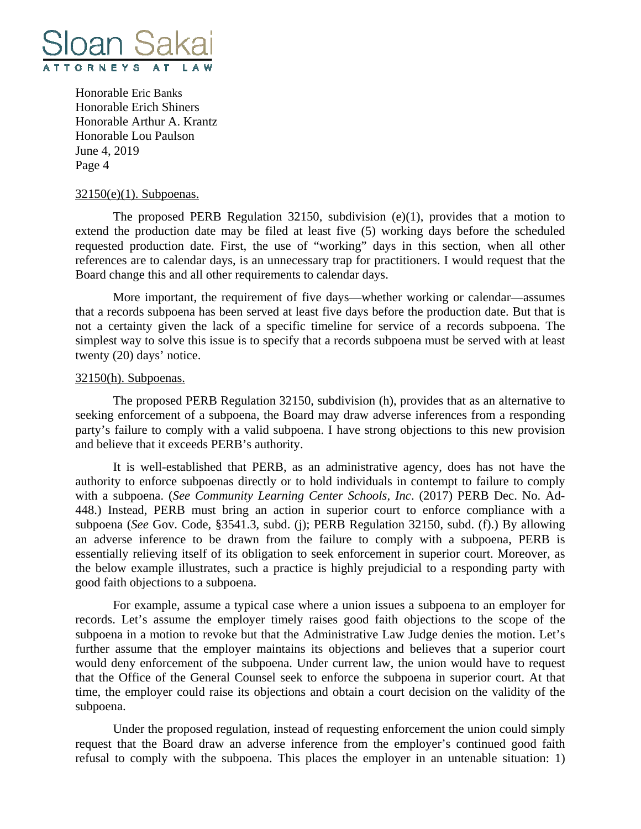

#### 32150(e)(1). Subpoenas.

 The proposed PERB Regulation 32150, subdivision (e)(1), provides that a motion to extend the production date may be filed at least five (5) working days before the scheduled requested production date. First, the use of "working" days in this section, when all other references are to calendar days, is an unnecessary trap for practitioners. I would request that the Board change this and all other requirements to calendar days.

 More important, the requirement of five days—whether working or calendar—assumes that a records subpoena has been served at least five days before the production date. But that is not a certainty given the lack of a specific timeline for service of a records subpoena. The simplest way to solve this issue is to specify that a records subpoena must be served with at least twenty (20) days' notice.

#### 32150(h). Subpoenas.

 The proposed PERB Regulation 32150, subdivision (h), provides that as an alternative to seeking enforcement of a subpoena, the Board may draw adverse inferences from a responding party's failure to comply with a valid subpoena. I have strong objections to this new provision and believe that it exceeds PERB's authority.

 It is well-established that PERB, as an administrative agency, does has not have the authority to enforce subpoenas directly or to hold individuals in contempt to failure to comply with a subpoena. (*See Community Learning Center Schools, Inc*. (2017) PERB Dec. No. Ad-448.) Instead, PERB must bring an action in superior court to enforce compliance with a subpoena (*See* Gov. Code, §3541.3, subd. (j); PERB Regulation 32150, subd. (f).) By allowing an adverse inference to be drawn from the failure to comply with a subpoena, PERB is essentially relieving itself of its obligation to seek enforcement in superior court. Moreover, as the below example illustrates, such a practice is highly prejudicial to a responding party with good faith objections to a subpoena.

 For example, assume a typical case where a union issues a subpoena to an employer for records. Let's assume the employer timely raises good faith objections to the scope of the subpoena in a motion to revoke but that the Administrative Law Judge denies the motion. Let's further assume that the employer maintains its objections and believes that a superior court would deny enforcement of the subpoena. Under current law, the union would have to request that the Office of the General Counsel seek to enforce the subpoena in superior court. At that time, the employer could raise its objections and obtain a court decision on the validity of the subpoena.

 Under the proposed regulation, instead of requesting enforcement the union could simply request that the Board draw an adverse inference from the employer's continued good faith refusal to comply with the subpoena. This places the employer in an untenable situation: 1)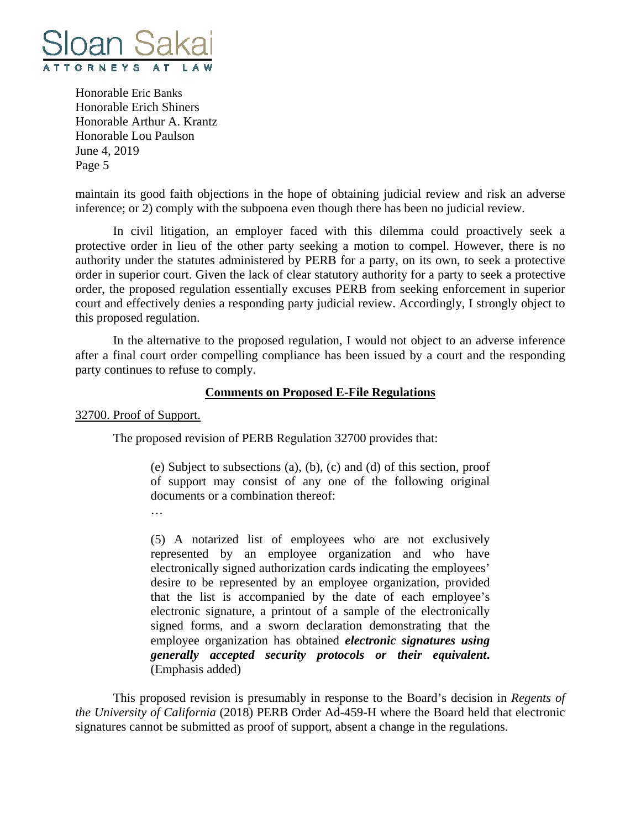

maintain its good faith objections in the hope of obtaining judicial review and risk an adverse inference; or 2) comply with the subpoena even though there has been no judicial review.

 In civil litigation, an employer faced with this dilemma could proactively seek a protective order in lieu of the other party seeking a motion to compel. However, there is no authority under the statutes administered by PERB for a party, on its own, to seek a protective order in superior court. Given the lack of clear statutory authority for a party to seek a protective order, the proposed regulation essentially excuses PERB from seeking enforcement in superior court and effectively denies a responding party judicial review. Accordingly, I strongly object to this proposed regulation.

 In the alternative to the proposed regulation, I would not object to an adverse inference after a final court order compelling compliance has been issued by a court and the responding party continues to refuse to comply.

### **Comments on Proposed E-File Regulations**

32700. Proof of Support.

The proposed revision of PERB Regulation 32700 provides that:

(e) Subject to subsections (a), (b), (c) and (d) of this section, proof of support may consist of any one of the following original documents or a combination thereof:

…

(5) A notarized list of employees who are not exclusively represented by an employee organization and who have electronically signed authorization cards indicating the employees' desire to be represented by an employee organization, provided that the list is accompanied by the date of each employee's electronic signature, a printout of a sample of the electronically signed forms, and a sworn declaration demonstrating that the employee organization has obtained *electronic signatures using generally accepted security protocols or their equivalent***.**  (Emphasis added)

 This proposed revision is presumably in response to the Board's decision in *Regents of the University of California* (2018) PERB Order Ad-459-H where the Board held that electronic signatures cannot be submitted as proof of support, absent a change in the regulations.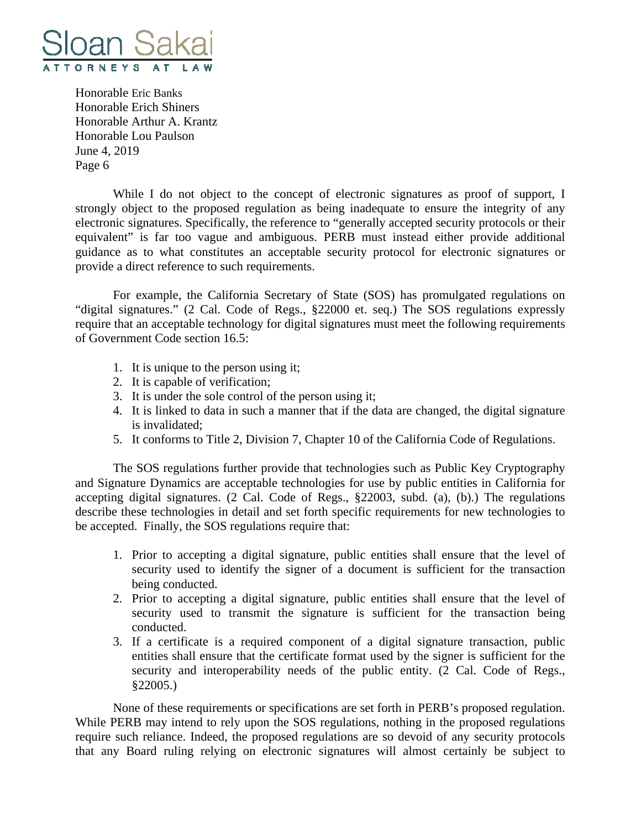

 While I do not object to the concept of electronic signatures as proof of support, I strongly object to the proposed regulation as being inadequate to ensure the integrity of any electronic signatures. Specifically, the reference to "generally accepted security protocols or their equivalent" is far too vague and ambiguous. PERB must instead either provide additional guidance as to what constitutes an acceptable security protocol for electronic signatures or provide a direct reference to such requirements.

 For example, the California Secretary of State (SOS) has promulgated regulations on "digital signatures." (2 Cal. Code of Regs., §22000 et. seq.) The SOS regulations expressly require that an acceptable technology for digital signatures must meet the following requirements of Government Code section 16.5:

- 1. It is unique to the person using it;
- 2. It is capable of verification;
- 3. It is under the sole control of the person using it;
- 4. It is linked to data in such a manner that if the data are changed, the digital signature is invalidated;
- 5. It conforms to Title 2, Division 7, Chapter 10 of the California Code of Regulations.

 The SOS regulations further provide that technologies such as Public Key Cryptography and Signature Dynamics are acceptable technologies for use by public entities in California for accepting digital signatures. (2 Cal. Code of Regs., §22003, subd. (a), (b).) The regulations describe these technologies in detail and set forth specific requirements for new technologies to be accepted. Finally, the SOS regulations require that:

- 1. Prior to accepting a digital signature, public entities shall ensure that the level of security used to identify the signer of a document is sufficient for the transaction being conducted.
- 2. Prior to accepting a digital signature, public entities shall ensure that the level of security used to transmit the signature is sufficient for the transaction being conducted.
- 3. If a certificate is a required component of a digital signature transaction, public entities shall ensure that the certificate format used by the signer is sufficient for the security and interoperability needs of the public entity. (2 Cal. Code of Regs., §22005.)

 None of these requirements or specifications are set forth in PERB's proposed regulation. While PERB may intend to rely upon the SOS regulations, nothing in the proposed regulations require such reliance. Indeed, the proposed regulations are so devoid of any security protocols that any Board ruling relying on electronic signatures will almost certainly be subject to